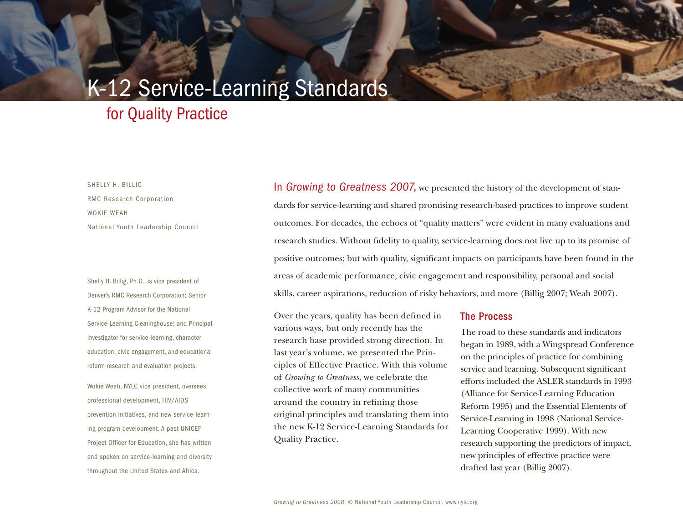# K-12 Service-Learning Standards

## for Quality Practice

 shellY h. billiG woKie weah RMC Research Corporation national Youth leadership council

8 chapter title Goes here

Shelly H. Billig, Ph.D., is vice president of Denver's RMC Research Corporation; Senior Service-Learning Clearinghouse; and Principal K-12 Program Advisor for the National investigator for service-learning, character education, civic engagement, and educational reform research and evaluation projects.

professional development, HIV/AIDS wokie weah, nYlc vice president, oversees prevention initiatives, and new service-learning program development. A past UNICEF Project Officer for Education, she has written and spoken on service-learning and diversity throughout the United States and Africa.

In *Growing to Greatness 2007*, we presented the history of the development of standards for service-learning and shared promising research-based practices to improve student outcomes. For decades, the echoes of "quality matters" were evident in many evaluations and research studies. Without fdelity to quality, service-learning does not live up to its promise of positive outcomes; but with quality, signifcant impacts on participants have been found in the areas of academic performance, civic engagement and responsibility, personal and social skills, career aspirations, reduction of risky behaviors, and more (Billig 2007; Weah 2007).

Over the years, quality has been defined in The Process various ways, but only recently has the research base provided strong direction. In last year's volume, we presented the Principles of Effective Practice. With this volume of *Growing to Greatness*, we celebrate the collective work of many communities around the country in refning those original principles and translating them into the new K-12 Service-Learning Standards for Quality Practice.

 began in 1989, with a Wingspread Conference on the principles of practice for combining service and learning. Subsequent signifcant (Alliance for Service-Learning Education Learning Cooperative 1999). With new research supporting the predictors of impact, new principles of effective practice were The road to these standards and indicators efforts included the ASLER standards in 1993 Reform 1995) and the Essential Elements of Service-Learning in 1998 (National Servicedrafted last year (Billig 2007).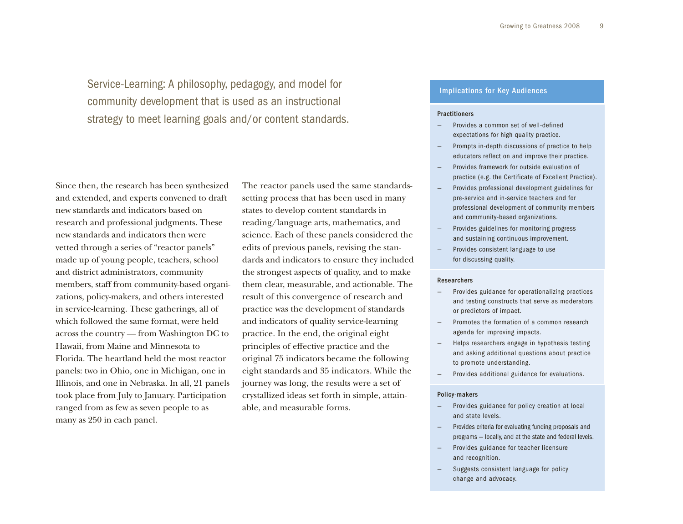Service-Learning: A philosophy, pedagogy, and model for community development that is used as an instructional strategy to meet learning goals and/or content standards.

 Since then, the research has been synthesized new standards and indicators based on research and professional judgments. These made up of young people, teachers, school zations, policy-makers, and others interested in service-learning. These gatherings, all of which followed the same format, were held across the country — from Washington DC to Hawaii, from Maine and Minnesota to Florida. The heartland held the most reactor panels: two in Ohio, one in Michigan, one in took place from July to January. Participation ranged from as few as seven people to as and extended, and experts convened to draft new standards and indicators then were vetted through a series of "reactor panels" and district administrators, community members, staff from community-based organi-Illinois, and one in Nebraska. In all, 21 panels many as 250 in each panel.

The reactor panels used the same standardssetting process that has been used in many states to develop content standards in reading/language arts, mathematics, and science. Each of these panels considered the edits of previous panels, revising the standards and indicators to ensure they included the strongest aspects of quality, and to make them clear, measurable, and actionable. The result of this convergence of research and practice was the development of standards and indicators of quality service-learning practice. In the end, the original eight principles of effective practice and the original 75 indicators became the following eight standards and 35 indicators. While the journey was long, the results were a set of crystallized ideas set forth in simple, attainable, and measurable forms.

#### Implications for Key Audiences

#### Practitioners

- Provides a common set of well-defined expectations for high quality practice.
- $\equiv$ Prompts in-depth discussions of practice to help educators reflect on and improve their practice.
- Provides framework for outside evaluation of practice (e.g. the Certificate of Excellent Practice).
- provides professional development guidelines for pre-service and in-service teachers and for professional development of community members and community-based organizations.
- Provides guidelines for monitoring progress and sustaining continuous improvement.
- $\equiv$ Provides consistent language to use for discussing quality.

#### Researchers

- provides guidance for operationalizing practices and testing constructs that serve as moderators or predictors of impact.
- — promotes the formation of a common research agenda for improving impacts.
- $\overline{\phantom{a}}$  and asking additional questions about practice — helps researchers engage in hypothesis testing to promote understanding.
- provides additional guidance for evaluations.

#### Policy-makers

- $\overline{\phantom{m}}$ Provides guidance for policy creation at local and state levels.
- provides criteria for evaluating funding proposals and programs — locally, and at the state and federal levels.
- $\equiv$ Provides guidance for teacher licensure and recognition.
- — suggests consistent language for policy change and advocacy.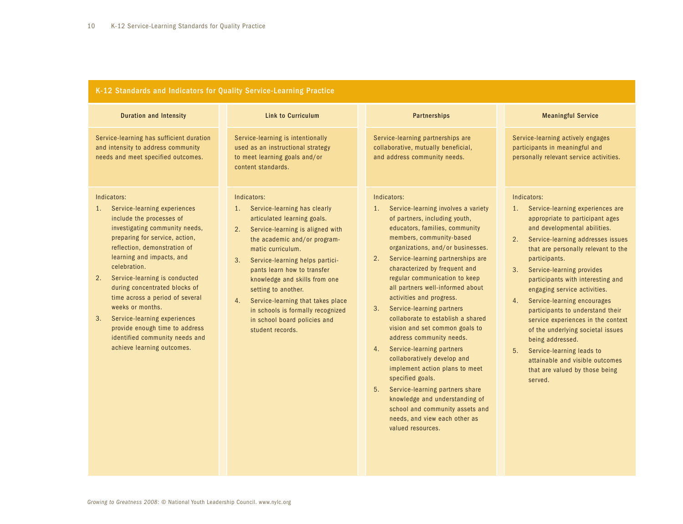| K-12 Standards and Indicators for Quality Service-Learning Practice                                                                                                                                                                                                                                                                                                                                                                                                                                   |                                                                                                                                                                                                                                                                                                                                                                                                                                                  |                                                                                                                                                                                                                                                                                                                                                                                                                                                                                                                                                                                                                                                                                                                                                                                                          |                                                                                                                                                                                                                                                                                                                                                                                                                                                                                                                                                                                                                             |  |
|-------------------------------------------------------------------------------------------------------------------------------------------------------------------------------------------------------------------------------------------------------------------------------------------------------------------------------------------------------------------------------------------------------------------------------------------------------------------------------------------------------|--------------------------------------------------------------------------------------------------------------------------------------------------------------------------------------------------------------------------------------------------------------------------------------------------------------------------------------------------------------------------------------------------------------------------------------------------|----------------------------------------------------------------------------------------------------------------------------------------------------------------------------------------------------------------------------------------------------------------------------------------------------------------------------------------------------------------------------------------------------------------------------------------------------------------------------------------------------------------------------------------------------------------------------------------------------------------------------------------------------------------------------------------------------------------------------------------------------------------------------------------------------------|-----------------------------------------------------------------------------------------------------------------------------------------------------------------------------------------------------------------------------------------------------------------------------------------------------------------------------------------------------------------------------------------------------------------------------------------------------------------------------------------------------------------------------------------------------------------------------------------------------------------------------|--|
| <b>Duration and Intensity</b>                                                                                                                                                                                                                                                                                                                                                                                                                                                                         | <b>Link to Curriculum</b>                                                                                                                                                                                                                                                                                                                                                                                                                        | <b>Partnerships</b>                                                                                                                                                                                                                                                                                                                                                                                                                                                                                                                                                                                                                                                                                                                                                                                      | <b>Meaningful Service</b>                                                                                                                                                                                                                                                                                                                                                                                                                                                                                                                                                                                                   |  |
| Service-learning has sufficient duration<br>and intensity to address community<br>needs and meet specified outcomes.                                                                                                                                                                                                                                                                                                                                                                                  | Service-learning is intentionally<br>used as an instructional strategy<br>to meet learning goals and/or<br>content standards.                                                                                                                                                                                                                                                                                                                    | Service-learning partnerships are<br>collaborative, mutually beneficial,<br>and address community needs.                                                                                                                                                                                                                                                                                                                                                                                                                                                                                                                                                                                                                                                                                                 | Service-learning actively engages<br>participants in meaningful and<br>personally relevant service activities.                                                                                                                                                                                                                                                                                                                                                                                                                                                                                                              |  |
| Indicators:<br>Service-learning experiences<br>1.<br>include the processes of<br>investigating community needs,<br>preparing for service, action,<br>reflection, demonstration of<br>learning and impacts, and<br>celebration.<br>Service-learning is conducted<br>2.<br>during concentrated blocks of<br>time across a period of several<br>weeks or months.<br>Service-learning experiences<br>3.<br>provide enough time to address<br>identified community needs and<br>achieve learning outcomes. | Indicators:<br>1. Service-learning has clearly<br>articulated learning goals.<br>2.<br>Service-learning is aligned with<br>the academic and/or program-<br>matic curriculum.<br>Service-learning helps partici-<br>3.<br>pants learn how to transfer<br>knowledge and skills from one<br>setting to another.<br>Service-learning that takes place<br>4.<br>in schools is formally recognized<br>in school board policies and<br>student records. | Indicators:<br>Service-learning involves a variety<br>1.<br>of partners, including youth,<br>educators, families, community<br>members, community-based<br>organizations, and/or businesses.<br>Service-learning partnerships are<br>2.<br>characterized by frequent and<br>regular communication to keep<br>all partners well-informed about<br>activities and progress.<br>Service-learning partners<br>3.<br>collaborate to establish a shared<br>vision and set common goals to<br>address community needs.<br>Service-learning partners<br>4.<br>collaboratively develop and<br>implement action plans to meet<br>specified goals.<br>5. Service-learning partners share<br>knowledge and understanding of<br>school and community assets and<br>needs, and view each other as<br>valued resources. | Indicators:<br>1. Service-learning experiences are<br>appropriate to participant ages<br>and developmental abilities.<br>Service-learning addresses issues<br>2.<br>that are personally relevant to the<br>participants.<br>Service-learning provides<br>3.<br>participants with interesting and<br>engaging service activities.<br>Service-learning encourages<br>4.<br>participants to understand their<br>service experiences in the context<br>of the underlying societal issues<br>being addressed.<br>5.<br>Service-learning leads to<br>attainable and visible outcomes<br>that are valued by those being<br>served. |  |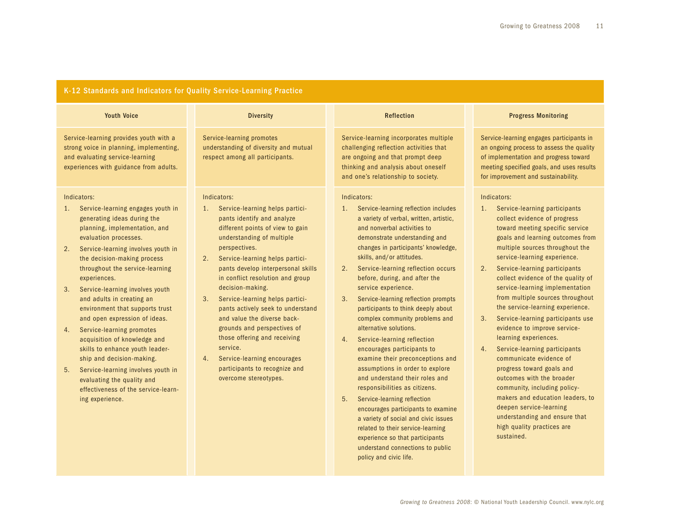### K-12 Standards and Indicators for Quality Service-Learning Practice

| <b>Youth Voice</b>                                                                                                                                                                                                                                                                                                                                                                                                                                                                                                                                                                                                                                                                             | <b>Diversity</b>                                                                                                                                                                                                                                                                                                                                                                                                                                                                                                                                                                                               | <b>Reflection</b>                                                                                                                                                                                                                                                                                                                                                                                                                                                                                                                                                                                                                                                                                                                                                                                                                                                                                                                       | <b>Progress Monitoring</b>                                                                                                                                                                                                                                                                                                                                                                                                                                                                                                                                                                                                                                                                                                                                                                                                       |
|------------------------------------------------------------------------------------------------------------------------------------------------------------------------------------------------------------------------------------------------------------------------------------------------------------------------------------------------------------------------------------------------------------------------------------------------------------------------------------------------------------------------------------------------------------------------------------------------------------------------------------------------------------------------------------------------|----------------------------------------------------------------------------------------------------------------------------------------------------------------------------------------------------------------------------------------------------------------------------------------------------------------------------------------------------------------------------------------------------------------------------------------------------------------------------------------------------------------------------------------------------------------------------------------------------------------|-----------------------------------------------------------------------------------------------------------------------------------------------------------------------------------------------------------------------------------------------------------------------------------------------------------------------------------------------------------------------------------------------------------------------------------------------------------------------------------------------------------------------------------------------------------------------------------------------------------------------------------------------------------------------------------------------------------------------------------------------------------------------------------------------------------------------------------------------------------------------------------------------------------------------------------------|----------------------------------------------------------------------------------------------------------------------------------------------------------------------------------------------------------------------------------------------------------------------------------------------------------------------------------------------------------------------------------------------------------------------------------------------------------------------------------------------------------------------------------------------------------------------------------------------------------------------------------------------------------------------------------------------------------------------------------------------------------------------------------------------------------------------------------|
| Service-learning provides youth with a<br>strong voice in planning, implementing,<br>and evaluating service-learning<br>experiences with guidance from adults.                                                                                                                                                                                                                                                                                                                                                                                                                                                                                                                                 | Service-learning promotes<br>understanding of diversity and mutual<br>respect among all participants.                                                                                                                                                                                                                                                                                                                                                                                                                                                                                                          | Service-learning incorporates multiple<br>challenging reflection activities that<br>are ongoing and that prompt deep<br>thinking and analysis about oneself<br>and one's relationship to society.                                                                                                                                                                                                                                                                                                                                                                                                                                                                                                                                                                                                                                                                                                                                       | Service-learning engages participants in<br>an ongoing process to assess the quality<br>of implementation and progress toward<br>meeting specified goals, and uses results<br>for improvement and sustainability.                                                                                                                                                                                                                                                                                                                                                                                                                                                                                                                                                                                                                |
| Indicators:<br>Service-learning engages youth in<br>1.<br>generating ideas during the<br>planning, implementation, and<br>evaluation processes.<br>Service-learning involves youth in<br>2.<br>the decision-making process<br>throughout the service-learning<br>experiences.<br>Service-learning involves youth<br>3.<br>and adults in creating an<br>environment that supports trust<br>and open expression of ideas.<br>Service-learning promotes<br>4.<br>acquisition of knowledge and<br>skills to enhance youth leader-<br>ship and decision-making.<br>5.<br>Service-learning involves youth in<br>evaluating the quality and<br>effectiveness of the service-learn-<br>ing experience. | Indicators:<br>Service-learning helps partici-<br>1.<br>pants identify and analyze<br>different points of view to gain<br>understanding of multiple<br>perspectives.<br>Service-learning helps partici-<br>2.<br>pants develop interpersonal skills<br>in conflict resolution and group<br>decision-making.<br>Service-learning helps partici-<br>3 <sub>1</sub><br>pants actively seek to understand<br>and value the diverse back-<br>grounds and perspectives of<br>those offering and receiving<br>service.<br>Service-learning encourages<br>4.<br>participants to recognize and<br>overcome stereotypes. | Indicators:<br>Service-learning reflection includes<br>1.<br>a variety of verbal, written, artistic,<br>and nonverbal activities to<br>demonstrate understanding and<br>changes in participants' knowledge,<br>skills, and/or attitudes.<br>Service-learning reflection occurs<br>2.<br>before, during, and after the<br>service experience.<br>Service-learning reflection prompts<br>3.<br>participants to think deeply about<br>complex community problems and<br>alternative solutions.<br>Service-learning reflection<br>4.<br>encourages participants to<br>examine their preconceptions and<br>assumptions in order to explore<br>and understand their roles and<br>responsibilities as citizens.<br>5.<br>Service-learning reflection<br>encourages participants to examine<br>a variety of social and civic issues<br>related to their service-learning<br>experience so that participants<br>understand connections to public | Indicators:<br>1.<br>Service-learning participants<br>collect evidence of progress<br>toward meeting specific service<br>goals and learning outcomes from<br>multiple sources throughout the<br>service-learning experience.<br>Service-learning participants<br>2.<br>collect evidence of the quality of<br>service-learning implementation<br>from multiple sources throughout<br>the service-learning experience.<br>3.<br>Service-learning participants use<br>evidence to improve service-<br>learning experiences.<br>Service-learning participants<br>4.<br>communicate evidence of<br>progress toward goals and<br>outcomes with the broader<br>community, including policy-<br>makers and education leaders, to<br>deepen service-learning<br>understanding and ensure that<br>high quality practices are<br>sustained. |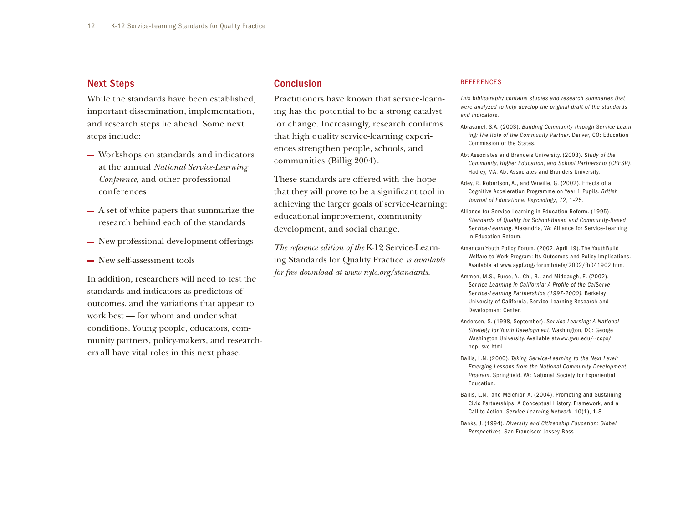#### Next Steps

While the standards have been established, important dissemination, implementation, and research steps lie ahead. Some next steps include:

- Workshops on standards and indicators at the annual *National Service-Learning Conference*, and other professional conferences
- A set of white papers that summarize the research behind each of the standards
- $-$  New professional development offerings
- New self-assessment tools

In addition, researchers will need to test the standards and indicators as predictors of outcomes, and the variations that appear to work best — for whom and under what conditions. Young people, educators, community partners, policy-makers, and researchers all have vital roles in this next phase.

#### Conclusion

 ing has the potential to be a strong catalyst communities (Billig 2004). Practitioners have known that service-learnfor change. Increasingly, research confrms that high quality service-learning experiences strengthen people, schools, and

These standards are offered with the hope that they will prove to be a signifcant tool in achieving the larger goals of service-learning: educational improvement, community development, and social change.

*The reference edition of the* K-12 Service-Learning Standards for Quality Practice *is available for free download at [www.nylc.org/standards.](www.nylc.org/standards)* 

#### **REFERENCES**

 *were analyzed to help develop the original draft of the standards This bibliography contains studies and research summaries that and indicators.* 

- abravanel, s.a. (2003). *Building Community through Service-Learning: The Role of the Community Partner*. Denver, CO: Education commission of the states.
- abt associates and brandeis university. (2003). *Study of the Community, Higher Education, and School Partnership (CHESP)*. Hadley, MA: Abt Associates and Brandeis University.
- Adey, P., Robertson, A., and Venville, G. (2002). Effects of a cognitive acceleration programme on Year 1 pupils. *British Journal of Educational Psychology*, 72, 1-25.
- Service-Learning. Alexandria, VA: Alliance for Service-Learning Alliance for Service-Learning in Education Reform. (1995). *Standards of Quality for School-Based and Community-Based*  in Education Reform.
- American Youth Policy Forum. (2002, April 19). The YouthBuild Welfare-to-Work Program: Its Outcomes and Policy Implications. available at <www.aypf.org/forumbriefs/2002/fb041902.htm>.
- Ammon, M.S., Furco, A., Chi, B., and Middaugh, E. (2002). University of California, Service-Learning Research and Service-Learning in California: A Profile of the CalServe *Ser vice-Learning Partnerships (1997-2000)*. berkeley: Development Center.
- andersen, s. (1998, september). *Ser vice Learning: A National*  Strategy for Youth Development. Washington, DC: George Washington University. Available atwww.gwu.edu/~ccps/ pop\_svc.html.
- *Emerging Lessons from the National Community Development*  Program. Springfield, VA: National Society for Experiential bailis, l.n. (2000). *Taking Service-Learning to the Next Level:*  Education.
- Bailis, L.N., and Melchior, A. (2004). Promoting and Sustaining civic partnerships: a conceptual history, framework, and a call to action. *Service-Learning Network*, 10(1), 1-8.
- banks, J. (1994). *Diversity and Citizenship Education: Global Perspectives*. san francisco: Jossey bass.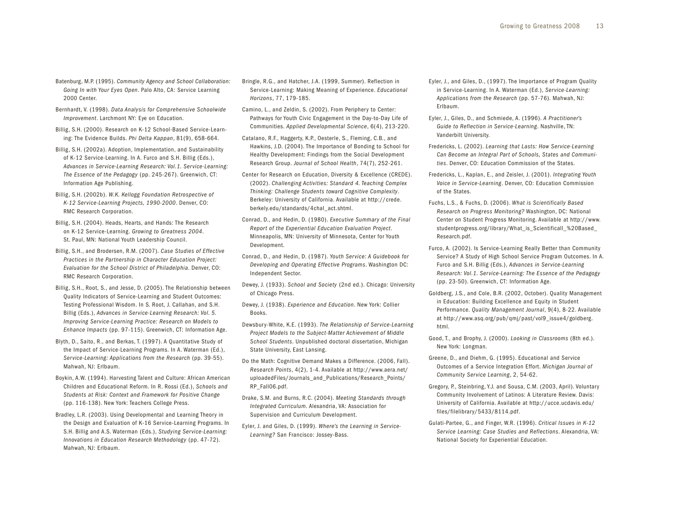- Batenburg, M.P. (1995). *Community Agency and School Collaboration: Going In with Your Eyes Open*. palo alto, ca: service learning 2000 center.
- bernhardt, v. (1998). *Data Analysis for Comprehensive Schoolwide Improvement*. Larchmont NY: Eye on Education.
- Billig, S.H. (2000). Research on K-12 School-Based Service-Learning: the evidence builds. *Phi Delta Kappan*, 81(9), 658-664.
- of K-12 Service-Learning. In A. Furco and S.H. Billig (Eds.),  *Advances in Ser vice-Learning Research: Vol.1. Ser vice-Learning:*  Billig, S.H. (2002a). Adoption, Implementation, and Sustainability *The Essence of the Pedagogy (pp. 245-267). Greenwich, CT:* information age publishing.
- billig, s.h. (2002b). *W.K. Kellogg Foundation Retrospective of K-12 Service-Learning Projects, 1990-2000. Denver, CO:* RMC Research Corporation.
- Billig, S.H. (2004). Heads, Hearts, and Hands: The Research on K-12 service-learning. *Growing to Greatness 2004*. St. Paul, MN: National Youth Leadership Council.
- billig, s.h., and brodersen, r.M. (2007). *Case Studies of Effective Practices in the Partnership in Character Education Project: Evaluation for the School District of Philadelphia. Denver, CO:* RMC Research Corporation.
- Quality Indicators of Service-Learning and Student Outcomes: Testing Professional Wisdom. In S. Root, J. Callahan, and S.H.  *Improving Ser vice-Learning Practice: Research on Models to*  Billig, S.H., Root, S., and Jesse, D. (2005). The Relationship between Billig (Eds.), Advances in Service-Learning Research: Vol. 5. *Enhance Impacts* (pp. 97-115). Greenwich, CT: Information Age.
- Blyth, D., Saito, R., and Berkas, T. (1997). A Quantitative Study of the Impact of Service-Learning Programs. In A. Waterman (Ed.), *Service-Learning: Applications from the Research (pp. 39-55).* Mahwah, nJ: erlbaum.
- Boykin, A.W. (1994). Harvesting Talent and Culture: African American Children and Educational Reform. In R. Rossi (Ed.), Schools and *Students at Risk: Context and Framework for Positive Change*  (pp. 116-138). New York: Teachers College Press.
- the Design and Evaluation of K-16 Service-Learning Programs. In Bradley, L.R. (2003). Using Developmental and Learning Theory in s.h. billig and a.s. waterman (eds.), *Studying Ser vice-Learning: Innovations in Education Research Methodology* (pp. 47-72). Mahwah, NJ: Erlbaum.
- Bringle, R.G., and Hatcher, J.A. (1999, Summer). Reflection in service-learning: Making Meaning of experience. *Educational Horizons*, 77, 179-185.
- camino, l., and zeldin, s. (2002). from periphery to center: Pathways for Youth Civic Engagement in the Day-to-Day Life of communities. *Applied Developmental Science*, 6(4), 213-220.
- Catalano, R.F., Haggerty, K.P., Oesterle, S., Fleming, C.B., and Hawkins, J.D. (2004). The Importance of Bonding to School for Healthy Development: Findings from the Social Development Research Group. *Journal of School Health*, 74(7), 252-261.
- Center for Research on Education, Diversity & Excellence (CREDE). (2002). *Challenging Activities: Standard 4. Teaching Complex Thinking: Challenge Students toward Cognitive Complexity*. berkeley: university of california. available at <http://crede>. [berkely.edu/standards/4chal\\_act.shtml](https://berkely.edu/standards/4chal_act.shtml).
- Conrad, D., and Hedin, D. (1980). *Executive Summary of the Final*  Minneapolis, Mn: university of Minnesota, center for Youth *Report of the Experiential Education Evaluation Project*. Development.
- Conrad, D., and Hedin, D. (1987). *Youth Service: A Guidebook for Developing and Operating Effective Programs*. Washington DC: independent sector.
- Dewey, J. (1933). School and Society (2nd ed.). Chicago: University of Chicago Press.
- dewey, J. (1938). *Experience and Education*. new York: collier Books.
- Dewsbury-White, K.E. (1993). The Relationship of Service-Learning  *Project Models to the Subject-Matter Achievement of Middle*  School Students. Unpublished doctoral dissertation, Michigan State University, East Lansing.
- Do the Math: Cognitive Demand Makes a Difference. (2006, Fall). *Research Points*, 4(2), 1-4. available at <http://www.aera.net>/ uploadedFiles/Journals\_and\_Publications/Research\_Points/ RP\_Fall06.pdf.
- Drake, S.M. and Burns, R.C. (2004). *Meeting Standards through Integrated Curriculum*. alexandria, va: association for Supervision and Curriculum Development.
- Eyler, J. and Giles, D. (1999). Where's the Learning in Service-*Learning?* san francisco: Jossey-bass.
- Eyler, J., and Giles, D., (1997). The Importance of Program Quality in service-learning. in a. waterman (ed.), *Service-Learning: Applications from the Research* (pp. 57-76). Mahwah, nJ: Erlbaum.
- eyler, J., Giles, d., and schmiede, a. (1996). *A Practitioner's*  Guide to Reflection in Service-Learning. Nashville, TN: Vanderbilt University.
- fredericks, l. (2002). *Learning that Lasts: How Ser vice-Learning*  ties. Denver, CO: Education Commission of the States. *Can Become an Integral Part of Schools, States and Communi-*
- fredericks, l., Kaplan, e., and zeisler, J. (2001). *Integrating Youth*  Voice in Service-Learning. Denver, CO: Education Commission of the States.
- fuchs, l.s., & fuchs, d. (2006). *What is Scientifically Based Research on Progress Monitoring?* Washington, DC: National center on student progress Monitoring. available at <http://www>. studentprogress.org/library/What\_is\_Scientificall\_%20Based Research.pdf.
- Furco, A. (2002). Is Service-Learning Really Better than Community Service? A Study of High School Service Program Outcomes. In A. Furco and S.H. Billig (Eds.), Advances in Service-Learning *Research: Vol.1. Ser vice-Learning: The Essence of the Pedagogy*  (pp. 23-50). Greenwich, CT: Information Age.
- in Education: Building Excellence and Equity in Student Goldberg, J.S., and Cole, B.R. (2002, October). Quality Management performance. *Quality Management Journal*, 9(4), 8-22. available at [http://www.asq.org/pub/qmj/past/vol9\\_issue4/goldberg](http://www.asq.org/pub/qmj/past/vol9_issue4/goldberg). html.
- Good, T., and Brophy, J. (2000). *Looking in Classrooms* (8th ed.). New York: Longman.
- Greene, D., and Diehm, G. (1995). Educational and Service outcomes of a service integration effort. *Michigan Journal of Community Service Learning*, 2, 54-62.
- Community Involvement of Latinos: A Literature Review. Davis: Gregory, P., Steinbring, Y.J. and Sousa, C.M. (2003, April). Voluntary University of California. Available at <http://ucce.ucdavis.edu>/ files/filelibrary/5433/8114.pdf.
- Gulati-Partee, G., and Finger, W.R. (1996). Critical Issues in K-12 *Service Learning: Case Studies and Reflections*. alexandria, va: National Society for Experiential Education.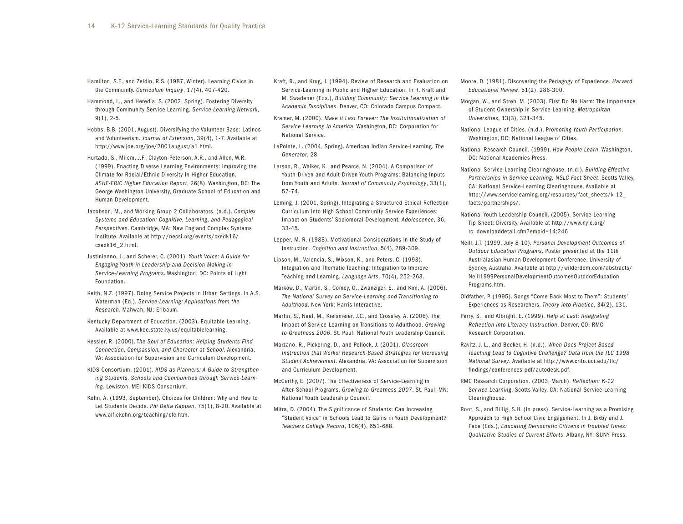- Hamilton, S.F., and Zeldin, R.S. (1987, Winter). Learning Civics in the community. *Curriculum Inquiry*, 17(4), 407-420.
- Hammond, L., and Heredia, S. (2002, Spring). Fostering Diversity through community service learning. *Service-Learning Network*, 9(1), 2-5.
- Hobbs, B.B. (2001, August). Diversifying the Volunteer Base: Latinos and volunteerism. *Journal of Extension*, 39(4), 1-7. available at <http://www.joe.org/joe/2001august/a1.html>.
- Hurtado, S., Milem, J.F., Clayton-Peterson, A.R., and Allen, W.R. (1999). Enacting Diverse Learning Environments: Improving the Climate for Racial/Ethnic Diversity in Higher Education. ASHE-ERIC Higher Education Report, 26(8). Washington, DC: The George Washington University, Graduate School of Education and Human Development.
- Jacobson, M., and working Group 2 collaborators. (n.d.). *Complex Systems and Education: Cognitive, Learning, and Pedagogical Perspectives*. Cambridge, MA: New England Complex Systems institute. available at <http://necsi.org/events/cxedk16>/ cxedk16\_2.html.
- Justinianno, J., and scherer, c. (2001). *Youth Voice: A Guide for Engaging Youth in Leadership and Decision-Making in*  Service-Learning Programs. Washington, DC: Points of Light foundation.
- Keith, N.Z. (1997). Doing Service Projects in Urban Settings. In A.S. waterman (ed.), *Ser vice-Learning: Applications from the Research*. Mahwah, nJ: erlbaum.
- Kentucky Department of Education. (2003). Equitable Learning. available at <www.kde.state.ky.us/equitablelearning>.
- Kessler, R. (2000). The Soul of Education: Helping Students Find *Connection, Compassion, and Character at School*. alexandria, VA: Association for Supervision and Curriculum Development.
- Kids consortium. (2001). *KIDS as Planners: A Guide to Strengthen*ing Students, Schools and Communities through Service-Learning. Lewiston, ME: KIDS Consortium.
- Kohn, a. (1993, september). choices for children: why and how to let students decide. *Phi Delta Kappan*, 75(1), 8-20. available at <www.alfiekohn.org/teaching/cfc.htm>.
- Kraft, R., and Krug, J. (1994). Review of Research and Evaluation on  M. swadener (eds.), *Building Community: Ser vice Learning in the Academic Disciplines*. denver, co: colorado campus compact. Service-Learning in Public and Higher Education. In R. Kraft and
- Service Learning in America. Washington, DC: Corporation for Kramer, M. (2000). *Make it Last Forever: The Institutionalization of*  National Service.
- lapointe, l. (2004, spring). american indian service-learning. *The Generator*, 28.
- Larson, R., Walker, K., and Pearce, N. (2004). A Comparison of Youth-Driven and Adult-Driven Youth Programs: Balancing Inputs from Youth and adults. *Journal of Community Psychology*, 33(1), 57-74.
- Leming, J. (2001, Spring). Integrating a Structured Ethical Reflection Curriculum into High School Community Service Experiences: impact on students' sociomoral development. *Adolescence*, 36, 33-45.
- Lepper, M. R. (1988). Motivational Considerations in the Study of instruction. *Cognition and Instruction*, 5(4), 289-309.
- lipson, M., valencia, s., wixson, K., and peters, c. (1993). Integration and Thematic Teaching: Integration to Improve teaching and learning. *Language Arts*, 70(4), 252-263.
- Markow, D., Martin, S., Comey, G., Zwanziger, E., and Kim, A. (2006).  *The National Sur vey on Ser vice-Learning and Transitioning to Adulthood*. new York: harris interactive.
- *to Greatness 2006*. st. paul: national Youth leadership council. Martin, S., Neal, M., Kielsmeier, J.C., and Crossley, A. (2006). The impact of service-learning on transitions to adulthood. *Growing*
- Marzano, R., Pickering, D., and Pollock, J. (2001). *Classroom Student Achievement*. alexandria, va: association for supervision *Instruction that Works: Research-Based Strategies for Increasing*  and Curriculum Development.
- McCarthy, E. (2007). The Effectiveness of Service-Learning in after-school programs. *Growing to Greatness 2007*. st. paul, Mn: national Youth leadership council.
- Mitra, D. (2004). The Significance of Students: Can Increasing "Student Voice" in Schools Lead to Gains in Youth Development? *Teachers College Record*, 106(4), 651-688.
- Moore, D. (1981). Discovering the Pedagogy of Experience. *Harvard Educational Review*, 51(2), 286-300.
- Morgan, W., and Streb, M. (2003). First Do No Harm: The Importance of student ownership in service-learning. *Metropolitan Universities*, 13(3), 321-345.
- national league of cities. (n.d.). p*romoting Youth Participation*. Washington, DC: National League of Cities.
- National Research Council. (1999). How People Learn. Washington, DC: National Academies Press.
- CA: National Service-Learning Clearinghouse. Available at national service-learning clearinghouse. (n.d.). *Building Effective*  Partnerships in Service-Learning: NSLC Fact Sheet. Scotts Valley, [http://www.servicelearning.org/resources/fact\\_sheets/k-12](http://www.servicelearning.org/resources/fact_sheets/k-12)\_ facts/partnerships/.
- national Youth leadership council. (2005). service-learning Tip Sheet: Diversity. Available at <http://www.nylc.org>/ rc\_downloaddetail.cfm?emoid=14:246
- *Outdoor Education Programs*. poster presented at the 11th sydney, australia. available at <http://wilderdom.com/abstracts>/ neill, J.t. (1999, July 8-10). *Personal Development Outcomes of*  Austrialasian Human Development Conference, University of Neill1999PersonalDevelopmentOutcomesOutdoorEducation programs.htm.
- Oldfather, P. (1995). Songs "Come Back Most to Them": Students' Experiences as Researchers. *Theory into Practice*, 34(2), 131.
- perry, s., and albright, e. (1999). *Help at Last: Integrating*  **Reflection into Literacy Instruction. Denver, CO: RMC** Research Corporation.
- ravitz, J. l., and becker, h. (n.d.). *When Does Project-Based Teaching Lead to Cognitive Challenge? Data from the TLC 1998 National Survey*. available at <http://www.crito.uci.edu/tlc>/ findings/conferences-pdf/autodesk.pdf.
- RMC Research Corporation. (2003, March). *Reflection: K-12* Service-Learning. Scotts Valley, CA: National Service-Learning clearinghouse.
- Root, S., and Billig, S.H. (In press). Service-Learning as a Promising Approach to High School Civic Engagement. In J. Bixby and J. Pace (Eds.), *Educating Democratic Citizens in Troubled Times: Qualitative Studies of Current Efforts*. albany, nY: sunY press.